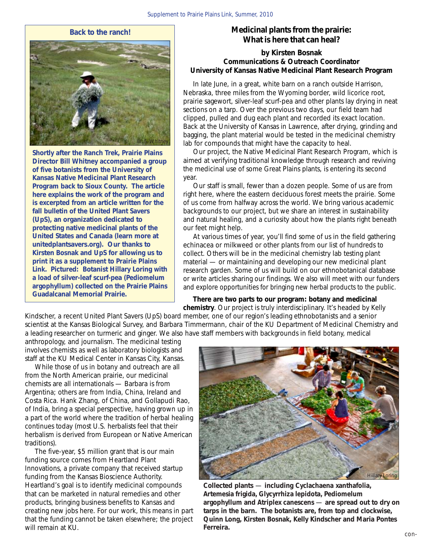## **Back to the ranch!**



**Shortly after the Ranch Trek, Prairie Plains Director Bill Whitney accompanied a group of five botanists from the University of Kansas Native Medicinal Plant Research Program back to Sioux County. The article here explains the work of the program and is excerpted from an article written for the fall bulletin of the United Plant Savers (UpS), an organization dedicated to protecting native medicinal plants of the United States and Canada (learn more at unitedplantsavers.org). Our thanks to Kirsten Bosnak and UpS for allowing us to print it as a supplement to** *Prairie Plains Link***. Pictured: Botanist Hillary Loring with a load of silver-leaf scurf-pea (***Pediomelum argophyllum)* **collected on the Prairie Plains Guadalcanal Memorial Prairie.**

## **Medicinal plants from the prairie: What is here that can heal?**

## **by Kirsten Bosnak Communications & Outreach Coordinator University of Kansas Native Medicinal Plant Research Program**

 In late June, in a great, white barn on a ranch outside Harrison, Nebraska, three miles from the Wyoming border, wild licorice root, prairie sagewort, silver-leaf scurf-pea and other plants lay drying in neat sections on a tarp. Over the previous two days, our field team had clipped, pulled and dug each plant and recorded its exact location. Back at the University of Kansas in Lawrence, after drying, grinding and bagging, the plant material would be tested in the medicinal chemistry lab for compounds that might have the capacity to heal.

 Our project, the Native Medicinal Plant Research Program, which is aimed at verifying traditional knowledge through research and reviving the medicinal use of some Great Plains plants, is entering its second year.

 Our staff is small, fewer than a dozen people. Some of us are from right here, where the eastern deciduous forest meets the prairie. Some of us come from halfway across the world. We bring various academic backgrounds to our project, but we share an interest in sustainability and natural healing, and a curiosity about how the plants right beneath our feet might help.

 At various times of year, you'll find some of us in the field gathering echinacea or milkweed or other plants from our list of hundreds to collect. Others will be in the medicinal chemistry lab testing plant material — or maintaining and developing our new medicinal plant research garden. Some of us will build on our ethnobotanical database or write articles sharing our findings. We also will meet with our funders and explore opportunities for bringing new herbal products to the public.

 **There are two parts to our program: botany and medicinal chemistry**. Our project is truly interdisciplinary. It's headed by Kelly

Kindscher, a recent United Plant Savers (UpS) board member, one of our region's leading ethnobotanists and a senior scientist at the Kansas Biological Survey, and Barbara Timmermann, chair of the KU Department of Medicinal Chemistry and a leading researcher on turmeric and ginger. We also have staff members with backgrounds in field botany, medical

anthropology, and journalism. The medicinal testing involves chemists as well as laboratory biologists and staff at the KU Medical Center in Kansas City, Kansas.

 While those of us in botany and outreach are all from the North American prairie, our medicinal chemists are all internationals — Barbara is from Argentina; others are from India, China, Ireland and Costa Rica. Hank Zhang, of China, and Gollapudi Rao, of India, bring a special perspective, having grown up in a part of the world where the tradition of herbal healing continues today (most U.S. herbalists feel that their herbalism is derived from European or Native American traditions).

 The five-year, \$5 million grant that is our main funding source comes from Heartland Plant Innovations, a private company that received startup funding from the Kansas Bioscience Authority. Heartland's goal is to identify medicinal compounds that can be marketed in natural remedies and other products, bringing business benefits to Kansas and creating new jobs here. For our work, this means in part that the funding cannot be taken elsewhere; the project will remain at KU.



**Collected plants** — **including** *Cyclachaena xanthafolia, Artemesia frigida, Glycyrrhiza lepidota, Pediomelum argophyllum* **and** *Atriplex canescens* — **are spread out to dry on tarps in the barn. The botanists are, from top and clockwise, Quinn Long, Kirsten Bosnak, Kelly Kindscher and Maria Pontes Ferreira.**